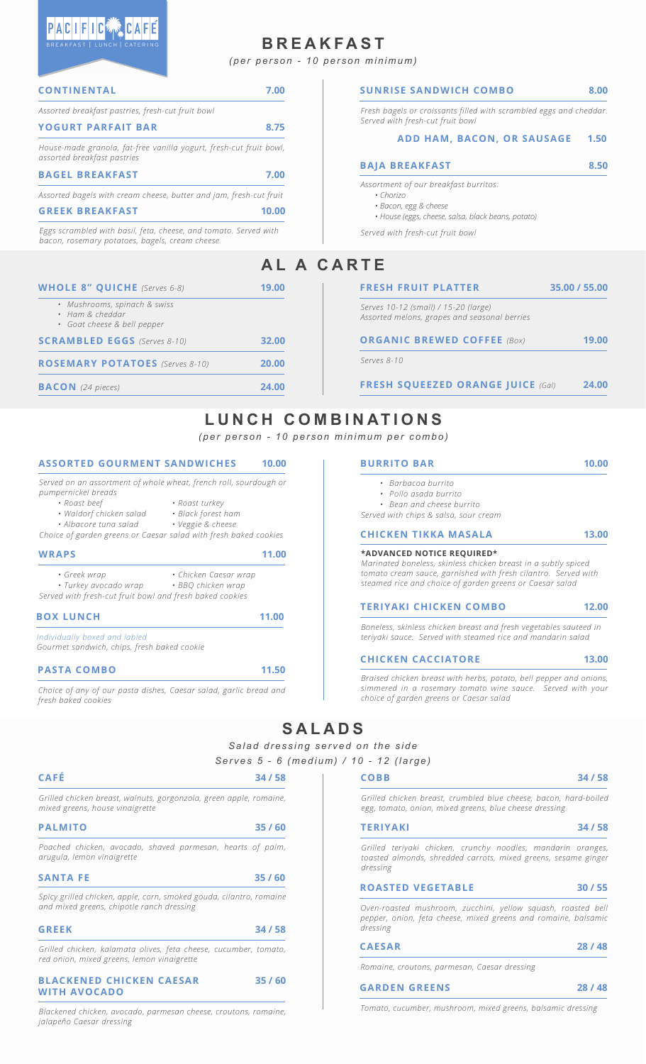## **BREAKFAST**

*(per person - 10 person minimum)*

| <b>CONTINENTAL</b>                                                                                                 | 7.00  | <b>SUNRISE SANDWICH COMBO</b>                                                        | 8.00          |
|--------------------------------------------------------------------------------------------------------------------|-------|--------------------------------------------------------------------------------------|---------------|
| Assorted breakfast pastries, fresh-cut fruit bowl                                                                  |       | Fresh bagels or croissants filled with scrambled eggs and cheddar.                   |               |
| <b>YOGURT PARFAIT BAR</b>                                                                                          | 8.75  | Served with fresh-cut fruit bowl                                                     |               |
| House-made granola, fat-free vanilla yogurt, fresh-cut fruit bowl,<br>assorted breakfast pastries                  |       | ADD HAM, BACON, OR SAUSAGE                                                           | 1.50          |
| <b>BAGEL BREAKFAST</b>                                                                                             | 7.00  | <b>BAJA BREAKFAST</b>                                                                | 8.50          |
| Assorted bagels with cream cheese, butter and jam, fresh-cut fruit                                                 |       | Assortment of our breakfast burritos:<br>• Chorizo                                   |               |
| <b>GREEK BREAKFAST</b>                                                                                             | 10.00 | · Bacon, egg & cheese<br>· House (eggs, cheese, salsa, black beans, potato)          |               |
| Eggs scrambled with basil, feta, cheese, and tomato. Served with<br>bacon, rosemary potatoes, bagels, cream cheese |       | Served with fresh-cut fruit bowl                                                     |               |
|                                                                                                                    |       | AL A CARTE                                                                           |               |
| <b>WHOLE 8" QUICHE</b> (Serves 6-8)                                                                                | 19.00 | <b>FRESH FRUIT PLATTER</b>                                                           | 35.00 / 55.00 |
| • Mushrooms, spinach & swiss<br>• Ham & cheddar<br>• Goat cheese & bell pepper                                     |       | Serves 10-12 (small) / 15-20 (large)<br>Assorted melons, grapes and seasonal berries |               |
| <b>SCRAMBLED EGGS</b> (Serves 8-10)                                                                                | 32.00 | <b>ORGANIC BREWED COFFEE (Box)</b>                                                   | 19.00         |
| <b>ROSEMARY POTATOES</b> (Serves 8-10)                                                                             | 20.00 | Serves 8-10                                                                          |               |
| <b>BACON</b> (24 pieces)                                                                                           | 24.00 | <b>FRESH SQUEEZED ORANGE JUICE (Gal)</b>                                             | 24.00         |

# LUNCH COMBINATIONS

*(per person - 10 person minimum per combo)*

#### **ASSORTED GOURMENT SANDWICHES 10.00**

*Served on an assortment of whole wheat, french roll, sourdough or pumpernickel breads*

- 
- *Roast beef Roast turkey*

*• Waldorf chicken salad • Black forest ham*  $•$  Albacore tuna salad

*Choice of garden greens or Caesar salad with fresh baked cookies*

| <b>WRAPS</b>                                                                                      |                                             | 11.00 |
|---------------------------------------------------------------------------------------------------|---------------------------------------------|-------|
| • Greek wrap<br>• Turkey avocado wrap<br>Served with fresh-cut fruit bowl and fresh baked cookies | • Chicken Caesar wrap<br>· BBO chicken wrap |       |
| <b>BOX LUNCH</b>                                                                                  |                                             | 11.00 |
| Individually boxed and labled<br>Gourmet sandwich, chips, fresh baked cookie                      |                                             |       |

**PASTA COMBO 11.50**

*Grilled chicken breast, walnu* 

*Choice of any of our pasta dishes, Caesar salad, garlic bread and fresh baked cookies*

*• Bean and cheese burrito Served with chips & salsa, sour cream* **\*ADVANCED NOTICE REQUIRED\*** *Marinated boneless, skinless chicken breast in a subtly spiced* **CHICKEN TIKKA MASALA 13.00**

**BURRITO BAR 10.00**

*• Barbacoa burrito • Pollo asada burrito*

*tomato cream sauce, garnished with fresh cilantro. Served with steamed rice and choice of garden greens or Caesar salad*

#### **TERIYAKI CHICKEN COMBO 12.00**

*Boneless, skinless chicken breast and fresh vegetables sauteed in teriyaki sauce. Served with steamed rice and mandarin salad*

#### **CHICKEN CACCIATORE 13.00**

*Braised chicken breast with herbs, potato, bell pepper and onions, simmered in a rosemary tomato wine sauce. Served with your choice of garden greens or Caesar salad*

## **SALADS**

*Salad dressing served on the side Serves 5 - 6 (medium) / 10 - 12 (large)*

| <b>CAFE</b> | 34/58 |  |
|-------------|-------|--|
|-------------|-------|--|

 $\sim$  1

| ts, gorgonzola, green apple, romaine, | Grilled chicken breast, crumbled blue cheese, bacon, hard-boiled |  |  |
|---------------------------------------|------------------------------------------------------------------|--|--|

| <b>PALMITO</b>                  |  |  | 35/60 |  |
|---------------------------------|--|--|-------|--|
| mixed greens, house vinaigrette |  |  |       |  |

*Poached chicken, avocado, shaved parmesan, hearts of palm, arugula, lemon vinaigrette*

| 35/60<br><b>SANTA FE</b> |  |
|--------------------------|--|
|--------------------------|--|

*Spicy grilled chicken, apple, corn, smoked gouda, cilantro, romaine and mixed greens, chipotle ranch dressing*

| <b>GREEK</b> | 34/58 |
|--------------|-------|
|              |       |

*Grilled chicken, kalamata olives, feta cheese, cucumber, tomato, red onion, mixed greens, lemon vinaigrette*

#### **BLACKENED CHICKEN CAESAR 35 / 60 WITH AVOCADO**

*Blackened chicken, avocado, parmesan cheese, croutons, romaine, jalapeño Caesar dressing*

*Grilled chicken breast, crumbled blue cheese, bacon, hard-boiled egg, tomato, onion, mixed greens, blue cheese dressing* **TERIYAKI 34 / 58**

*Grilled teriyaki chicken, crunchy noodles, mandarin oranges, toasted almonds, shredded carrots, mixed greens, sesame ginger dressing*

| <b>ROASTED VEGETABLE</b> | 30/55 |
|--------------------------|-------|
|                          |       |

*Oven-roasted mushroom, zucchini, yellow squash, roasted bell pepper, onion, feta cheese, mixed greens and romaine, balsamic dressing*

| <b>CAESAR</b> | 28/48 |
|---------------|-------|
|               |       |

*Romaine, croutons, parmesan, Caesar dressing*

#### **GARDEN GREENS 28 / 48**

*Tomato, cucumber, mushroom, mixed greens, balsamic dressing*